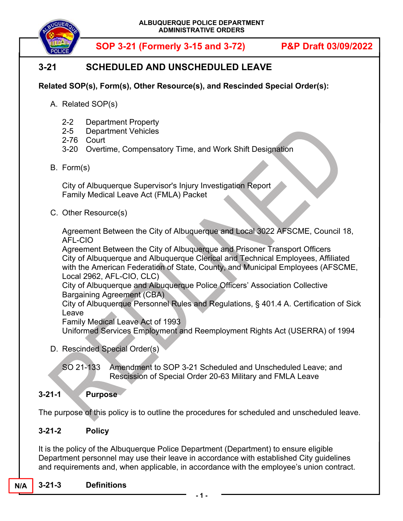

# **3-21 SCHEDULED AND UNSCHEDULED LEAVE**

#### **Related SOP(s), Form(s), Other Resource(s), and Rescinded Special Order(s):**

- A. Related SOP(s)
	- 2-2 Department Property
	- 2-5 Department Vehicles
	- 2-76 Court
	- 3-20 Overtime, Compensatory Time, and Work Shift Designation
- B. Form(s)

City of Albuquerque Supervisor's Injury Investigation Report Family Medical Leave Act (FMLA) Packet

C. Other Resource(s)

Agreement Between the City of Albuquerque and Local 3022 AFSCME, Council 18, AFL-CIO

Agreement Between the City of Albuquerque and Prisoner Transport Officers City of Albuquerque and Albuquerque Clerical and Technical Employees, Affiliated with the American Federation of State, County, and Municipal Employees (AFSCME, Local 2962, AFL-CIO, CLC)

City of Albuquerque and Albuquerque Police Officers' Association Collective Bargaining Agreement (CBA)

City of Albuquerque Personnel Rules and Regulations, § 401.4 A. Certification of Sick Leave

Family Medical Leave Act of 1993

Uniformed Services Employment and Reemployment Rights Act (USERRA) of 1994

D. Rescinded Special Order(s)

SO 21-133 Amendment to SOP 3-21 Scheduled and Unscheduled Leave; and Rescission of Special Order 20-63 Military and FMLA Leave

#### **3-21-1 Purpose**

The purpose of this policy is to outline the procedures for scheduled and unscheduled leave.

#### **3-21-2 Policy**

It is the policy of the Albuquerque Police Department (Department) to ensure eligible Department personnel may use their leave in accordance with established City guidelines and requirements and, when applicable, in accordance with the employee's union contract.

#### **N/A 3-21-3 Definitions**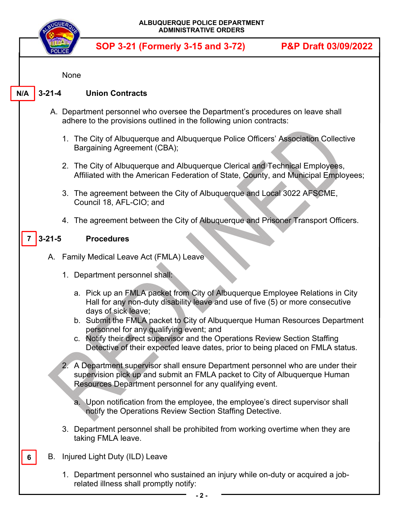|     |              | ALBUQUERQUE POLICE DEPARTMENT<br><b>ADMINISTRATIVE ORDERS</b>                                                                                                                                                                                                         |                                 |
|-----|--------------|-----------------------------------------------------------------------------------------------------------------------------------------------------------------------------------------------------------------------------------------------------------------------|---------------------------------|
|     |              | SOP 3-21 (Formerly 3-15 and 3-72)                                                                                                                                                                                                                                     | <b>P&amp;P Draft 03/09/2022</b> |
|     |              | None                                                                                                                                                                                                                                                                  |                                 |
| N/A | $3 - 21 - 4$ | <b>Union Contracts</b>                                                                                                                                                                                                                                                |                                 |
|     |              | A. Department personnel who oversee the Department's procedures on leave shall<br>adhere to the provisions outlined in the following union contracts:                                                                                                                 |                                 |
|     |              | 1. The City of Albuquerque and Albuquerque Police Officers' Association Collective<br>Bargaining Agreement (CBA);                                                                                                                                                     |                                 |
|     |              | 2. The City of Albuquerque and Albuquerque Clerical and Technical Employees,<br>Affiliated with the American Federation of State, County, and Municipal Employees;                                                                                                    |                                 |
|     |              | 3. The agreement between the City of Albuquerque and Local 3022 AFSCME,<br>Council 18, AFL-CIO; and                                                                                                                                                                   |                                 |
|     |              | 4. The agreement between the City of Albuquerque and Prisoner Transport Officers.                                                                                                                                                                                     |                                 |
| 7   | $3 - 21 - 5$ | <b>Procedures</b>                                                                                                                                                                                                                                                     |                                 |
|     |              | A. Family Medical Leave Act (FMLA) Leave                                                                                                                                                                                                                              |                                 |
|     |              | 1. Department personnel shall:                                                                                                                                                                                                                                        |                                 |
|     |              | a. Pick up an FMLA packet from City of Albuquerque Employee Relations in City<br>Hall for any non-duty disability leave and use of five (5) or more consecutive<br>days of sick leave;<br>b. Submit the FMLA packet to City of Albuquerque Human Resources Department |                                 |
|     |              | personnel for any qualifying event; and<br>c. Notify their direct supervisor and the Operations Review Section Staffing<br>Detective of their expected leave dates, prior to being placed on FMLA status.                                                             |                                 |
|     |              | 2. A Department supervisor shall ensure Department personnel who are under their<br>supervision pick up and submit an FMLA packet to City of Albuquerque Human<br>Resources Department personnel for any qualifying event.                                            |                                 |
|     |              | a. Upon notification from the employee, the employee's direct supervisor shall<br>notify the Operations Review Section Staffing Detective.                                                                                                                            |                                 |
|     |              | 3. Department personnel shall be prohibited from working overtime when they are<br>taking FMLA leave.                                                                                                                                                                 |                                 |
| 6   |              | B. Injured Light Duty (ILD) Leave                                                                                                                                                                                                                                     |                                 |
|     |              | 1. Department personnel who sustained an injury while on-duty or acquired a job-<br>related illness shall promptly notify:                                                                                                                                            |                                 |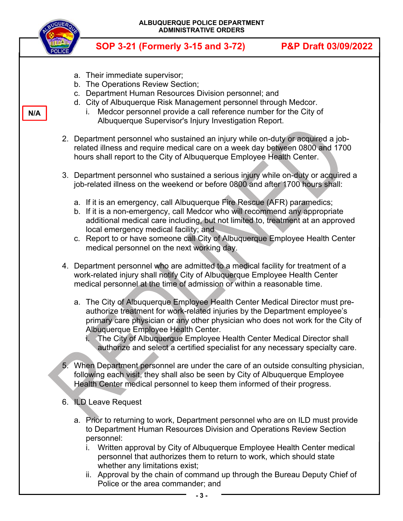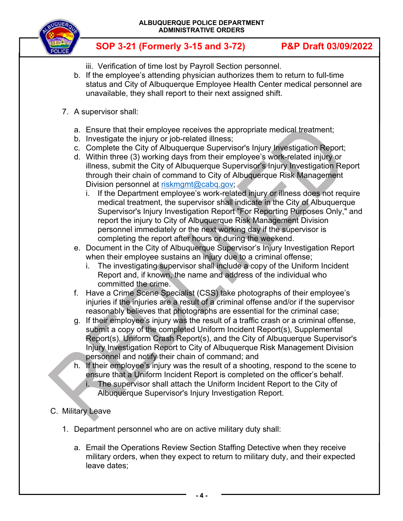

- iii. Verification of time lost by Payroll Section personnel.
- b. If the employee's attending physician authorizes them to return to full-time status and City of Albuquerque Employee Health Center medical personnel are unavailable, they shall report to their next assigned shift.
- 7. A supervisor shall:
	- a. Ensure that their employee receives the appropriate medical treatment;
	- b. Investigate the injury or job-related illness;
	- c. Complete the City of Albuquerque Supervisor's Injury Investigation Report;
	- d. Within three (3) working days from their employee's work-related injury or illness, submit the City of Albuquerque Supervisor's Injury Investigation Report through their chain of command to City of Albuquerque Risk Management Division personnel at riskmgmt@cabq.gov;
		- i. If the Department employee's work-related injury or illness does not require medical treatment, the supervisor shall indicate in the City of Albuquerque Supervisor's Injury Investigation Report "For Reporting Purposes Only," and report the injury to City of Albuquerque Risk Management Division personnel immediately or the next working day if the supervisor is completing the report after hours or during the weekend.
	- e. Document in the City of Albuquerque Supervisor's Injury Investigation Report when their employee sustains an injury due to a criminal offense;
		- i. The investigating supervisor shall include a copy of the Uniform Incident Report and, if known, the name and address of the individual who committed the crime.
	- f. Have a Crime Scene Specialist (CSS) take photographs of their employee's injuries if the injuries are a result of a criminal offense and/or if the supervisor reasonably believes that photographs are essential for the criminal case;
	- g. If their employee's injury was the result of a traffic crash or a criminal offense, submit a copy of the completed Uniform Incident Report(s), Supplemental Report(s), Uniform Crash Report(s), and the City of Albuquerque Supervisor's Injury Investigation Report to City of Albuquerque Risk Management Division personnel and notify their chain of command; and
	- h. If their employee's injury was the result of a shooting, respond to the scene to ensure that a Uniform Incident Report is completed on the officer's behalf.
		- i. The supervisor shall attach the Uniform Incident Report to the City of Albuquerque Supervisor's Injury Investigation Report.
- C. Military Leave
	- 1. Department personnel who are on active military duty shall:
		- a. Email the Operations Review Section Staffing Detective when they receive military orders, when they expect to return to military duty, and their expected leave dates;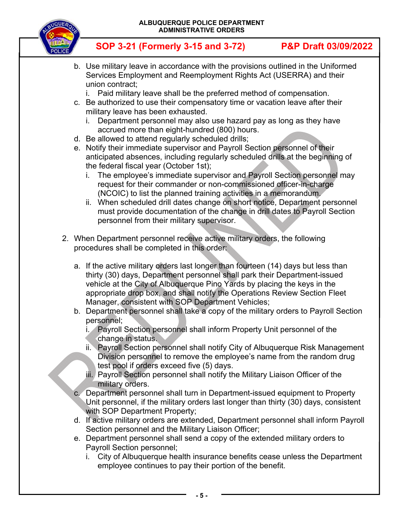



- b. Use military leave in accordance with the provisions outlined in the Uniformed Services Employment and Reemployment Rights Act (USERRA) and their union contract;
	- i. Paid military leave shall be the preferred method of compensation.
- c. Be authorized to use their compensatory time or vacation leave after their military leave has been exhausted.
	- i. Department personnel may also use hazard pay as long as they have accrued more than eight-hundred (800) hours.
- d. Be allowed to attend regularly scheduled drills;
- e. Notify their immediate supervisor and Payroll Section personnel of their anticipated absences, including regularly scheduled drills at the beginning of the federal fiscal year (October 1st);
	- i. The employee's immediate supervisor and Payroll Section personnel may request for their commander or non-commissioned officer-in-charge (NCOIC) to list the planned training activities in a memorandum.
	- ii. When scheduled drill dates change on short notice, Department personnel must provide documentation of the change in drill dates to Payroll Section personnel from their military supervisor.
- 2. When Department personnel receive active military orders, the following procedures shall be completed in this order:
	- a. If the active military orders last longer than fourteen (14) days but less than thirty (30) days, Department personnel shall park their Department-issued vehicle at the City of Albuquerque Pino Yards by placing the keys in the appropriate drop box, and shall notify the Operations Review Section Fleet Manager, consistent with SOP Department Vehicles;
	- b. Department personnel shall take a copy of the military orders to Payroll Section personnel;
		- i. Payroll Section personnel shall inform Property Unit personnel of the change in status.
		- ii. Payroll Section personnel shall notify City of Albuquerque Risk Management Division personnel to remove the employee's name from the random drug test pool if orders exceed five (5) days.
		- iii. Payroll Section personnel shall notify the Military Liaison Officer of the military orders.
	- c. Department personnel shall turn in Department-issued equipment to Property Unit personnel, if the military orders last longer than thirty (30) days, consistent with SOP Department Property;
	- d. If active military orders are extended, Department personnel shall inform Payroll Section personnel and the Military Liaison Officer;
	- e. Department personnel shall send a copy of the extended military orders to Payroll Section personnel;
		- i. City of Albuquerque health insurance benefits cease unless the Department employee continues to pay their portion of the benefit.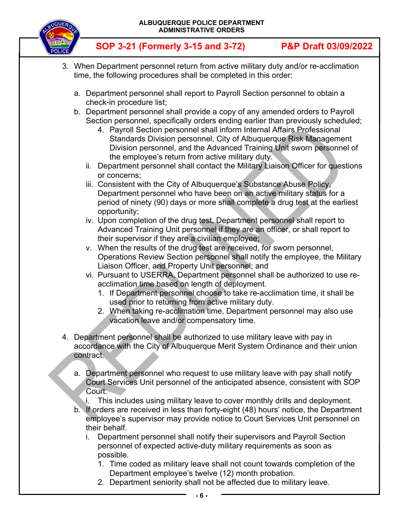

- 3. When Department personnel return from active military duty and/or re-acclimation time, the following procedures shall be completed in this order:
	- a. Department personnel shall report to Payroll Section personnel to obtain a check-in procedure list;
	- b. Department personnel shall provide a copy of any amended orders to Payroll Section personnel, specifically orders ending earlier than previously scheduled;
		- 4. Payroll Section personnel shall inform Internal Affairs Professional Standards Division personnel, City of Albuquerque Risk Management Division personnel, and the Advanced Training Unit sworn personnel of the employee's return from active military duty.
		- ii. Department personnel shall contact the Military Liaison Officer for questions or concerns;
		- iii. Consistent with the City of Albuquerque's Substance Abuse Policy, Department personnel who have been on an active military status for a period of ninety (90) days or more shall complete a drug test at the earliest opportunity;
		- iv. Upon completion of the drug test, Department personnel shall report to Advanced Training Unit personnel if they are an officer, or shall report to their supervisor if they are a civilian employee;
		- v. When the results of the drug test are received, for sworn personnel, Operations Review Section personnel shall notify the employee, the Military Liaison Officer, and Property Unit personnel; and
		- vi. Pursuant to USERRA, Department personnel shall be authorized to use reacclimation time based on length of deployment.
			- 1. If Department personnel choose to take re-acclimation time, it shall be used prior to returning from active military duty.
			- 2. When taking re-acclimation time, Department personnel may also use vacation leave and/or compensatory time.
- 4. Department personnel shall be authorized to use military leave with pay in accordance with the City of Albuquerque Merit System Ordinance and their union contract.
	- a. Department personnel who request to use military leave with pay shall notify Court Services Unit personnel of the anticipated absence, consistent with SOP Court.
		- i. This includes using military leave to cover monthly drills and deployment.
	- b. If orders are received in less than forty-eight (48) hours' notice, the Department employee's supervisor may provide notice to Court Services Unit personnel on their behalf.
		- i. Department personnel shall notify their supervisors and Payroll Section personnel of expected active-duty military requirements as soon as possible.
			- 1. Time coded as military leave shall not count towards completion of the Department employee's twelve (12) month probation.
			- 2. Department seniority shall not be affected due to military leave.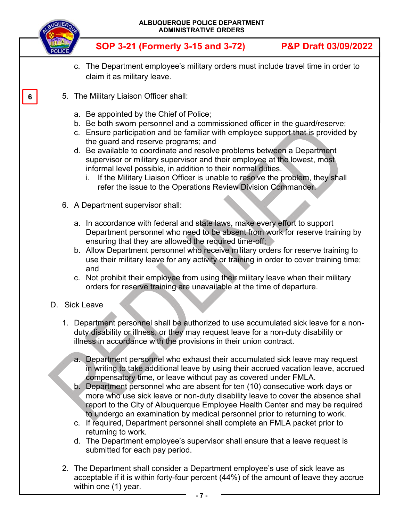

**6** 

- c. The Department employee's military orders must include travel time in order to claim it as military leave.
- 5. The Military Liaison Officer shall:
	- a. Be appointed by the Chief of Police;
	- b. Be both sworn personnel and a commissioned officer in the guard/reserve;
	- c. Ensure participation and be familiar with employee support that is provided by the guard and reserve programs; and
	- d. Be available to coordinate and resolve problems between a Department supervisor or military supervisor and their employee at the lowest, most informal level possible, in addition to their normal duties.
		- i. If the Military Liaison Officer is unable to resolve the problem, they shall refer the issue to the Operations Review Division Commander.
	- 6. A Department supervisor shall:
		- a. In accordance with federal and state laws, make every effort to support Department personnel who need to be absent from work for reserve training by ensuring that they are allowed the required time-off;
		- b. Allow Department personnel who receive military orders for reserve training to use their military leave for any activity or training in order to cover training time; and
		- c. Not prohibit their employee from using their military leave when their military orders for reserve training are unavailable at the time of departure.
- D. Sick Leave
	- 1. Department personnel shall be authorized to use accumulated sick leave for a nonduty disability or illness, or they may request leave for a non-duty disability or illness in accordance with the provisions in their union contract.
		- a. Department personnel who exhaust their accumulated sick leave may request in writing to take additional leave by using their accrued vacation leave, accrued compensatory time, or leave without pay as covered under FMLA.
		- b. Department personnel who are absent for ten (10) consecutive work days or more who use sick leave or non-duty disability leave to cover the absence shall report to the City of Albuquerque Employee Health Center and may be required to undergo an examination by medical personnel prior to returning to work.
		- c. If required, Department personnel shall complete an FMLA packet prior to returning to work.
		- d. The Department employee's supervisor shall ensure that a leave request is submitted for each pay period.
	- 2. The Department shall consider a Department employee's use of sick leave as acceptable if it is within forty-four percent (44%) of the amount of leave they accrue within one (1) year.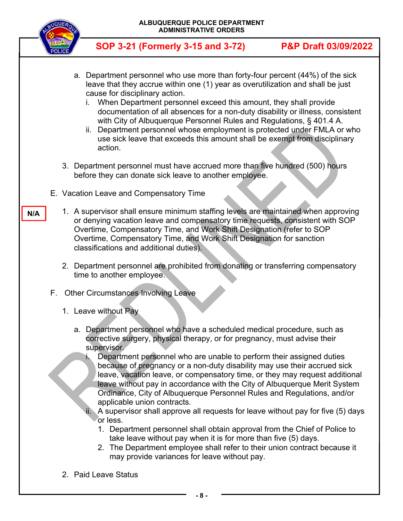

**N/A** 

**SOP 3-21 (Formerly 3-15 and 3-72) P&P Draft 03/09/2022**

- a. Department personnel who use more than forty-four percent (44%) of the sick leave that they accrue within one (1) year as overutilization and shall be just cause for disciplinary action.
	- i. When Department personnel exceed this amount, they shall provide documentation of all absences for a non-duty disability or illness, consistent with City of Albuquerque Personnel Rules and Regulations, § 401.4 A.
	- ii. Department personnel whose employment is protected under FMLA or who use sick leave that exceeds this amount shall be exempt from disciplinary action.
- 3. Department personnel must have accrued more than five hundred (500) hours before they can donate sick leave to another employee.
- E. Vacation Leave and Compensatory Time
	- 1. A supervisor shall ensure minimum staffing levels are maintained when approving or denying vacation leave and compensatory time requests, consistent with SOP Overtime, Compensatory Time, and Work Shift Designation (refer to SOP Overtime, Compensatory Time, and Work Shift Designation for sanction classifications and additional duties).
		- 2. Department personnel are prohibited from donating or transferring compensatory time to another employee.
- F. Other Circumstances Involving Leave
	- 1. Leave without Pay
		- a. Department personnel who have a scheduled medical procedure, such as corrective surgery, physical therapy, or for pregnancy, must advise their supervisor.
			- i. Department personnel who are unable to perform their assigned duties because of pregnancy or a non-duty disability may use their accrued sick leave, vacation leave, or compensatory time, or they may request additional leave without pay in accordance with the City of Albuquerque Merit System Ordinance, City of Albuquerque Personnel Rules and Regulations, and/or applicable union contracts.
			- ii. A supervisor shall approve all requests for leave without pay for five (5) days or less.
				- 1. Department personnel shall obtain approval from the Chief of Police to take leave without pay when it is for more than five (5) days.
				- 2. The Department employee shall refer to their union contract because it may provide variances for leave without pay.
	- 2. Paid Leave Status

**- 8 -**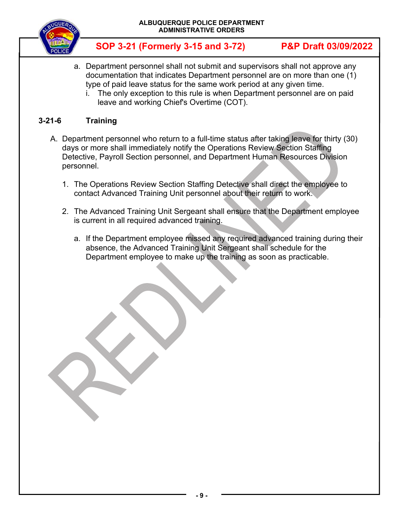

- a. Department personnel shall not submit and supervisors shall not approve any documentation that indicates Department personnel are on more than one (1) type of paid leave status for the same work period at any given time.
	- i. The only exception to this rule is when Department personnel are on paid leave and working Chief's Overtime (COT).

#### **3-21-6 Training**

- A. Department personnel who return to a full-time status after taking leave for thirty (30) days or more shall immediately notify the Operations Review Section Staffing Detective, Payroll Section personnel, and Department Human Resources Division personnel.
	- 1. The Operations Review Section Staffing Detective shall direct the employee to contact Advanced Training Unit personnel about their return to work.
	- 2. The Advanced Training Unit Sergeant shall ensure that the Department employee is current in all required advanced training.
		- a. If the Department employee missed any required advanced training during their absence, the Advanced Training Unit Sergeant shall schedule for the Department employee to make up the training as soon as practicable.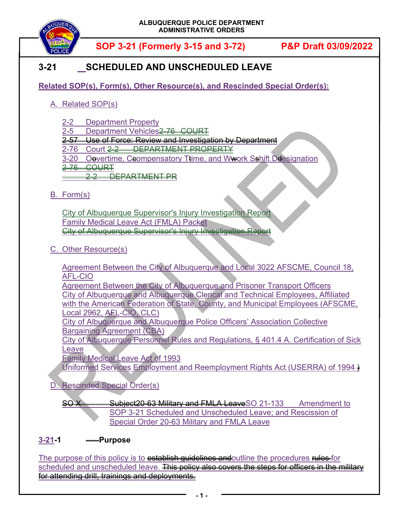

# **3-21 SCHEDULED AND UNSCHEDULED LEAVE**

**Related SOP(s), Form(s), Other Resource(s), and Rescinded Special Order(s):** 

### A. Related SOP(s)

- 2-2 Department Property
- 2-5 Department Vehicles<del>2-76 COURT</del>
- 2-57 Use of Force: Review and Investigation by Department
- 2-76 Court 2-2 DEPARTMENT PROPERTY
- 3-20 Oevertime, Ceompensatory Ttime, and W<del>w</del>ork Sshift Deesignation
- 2-76 COURT

**22 DEPARTMENT PR** 

#### B. Form(s)

City of Albuquerque Supervisor's Injury Investigation Report Family Medical Leave Act (FMLA) Packet City of Albuquerque Supervisor's Injury Investigation Report

C. Other Resource(s)

Agreement Between the City of Albuquerque and Local 3022 AFSCME, Council 18, AFL-CIO

Agreement Between the City of Albuquerque and Prisoner Transport Officers City of Albuquerque and Albuquerque Clerical and Technical Employees, Affiliated with the American Federation of State, County, and Municipal Employees (AFSCME, Local 2962, AFL-CIO, CLC)

City of Albuquerque and Albuquerque Police Officers' Association Collective Bargaining Agreement (CBA)

City of Albuquerque Personnel Rules and Regulations, § 401.4 A. Certification of Sick Leave

Family Medical Leave Act of 1993 Uniformed Services Employment and Reemployment Rights Act (USERRA) of 1994 )

D. Rescinded Special Order(s)

SO X Subject 20-63 Military and FMLA Leave SO 21-133 Amendment to SOP 3-21 Scheduled and Unscheduled Leave; and Rescission of Special Order 20-63 Military and FMLA Leave

# **3-21-1 Purpose**

The purpose of this policy is to establish quidelines andoutline the procedures rules for scheduled and unscheduled leave. This policy also covers the steps for officers in the military for attending drill, trainings and deployments.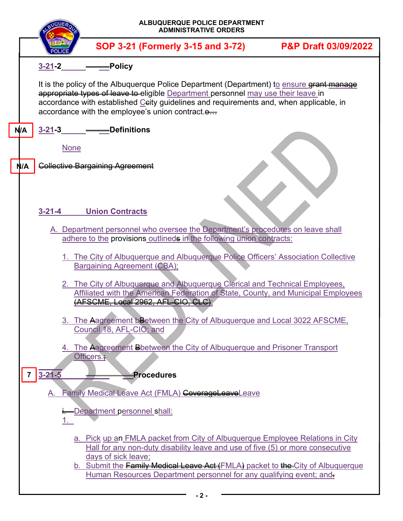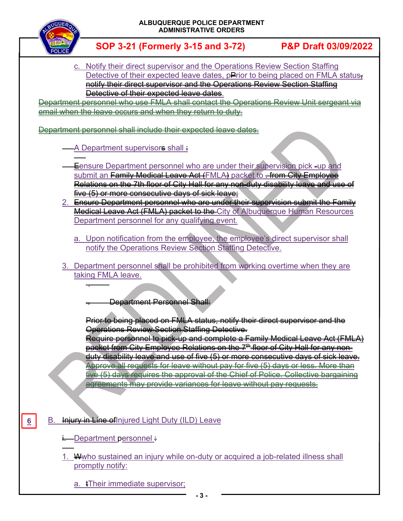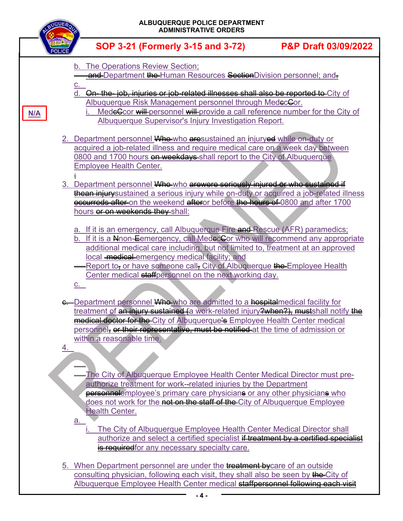|     | ALBUQUERQUE POLICE DEPARTMENT<br><b>ADMINISTRATIVE ORDERS</b>                                                                                                                                                                                                                                                                                                                                                                                              |                                 |
|-----|------------------------------------------------------------------------------------------------------------------------------------------------------------------------------------------------------------------------------------------------------------------------------------------------------------------------------------------------------------------------------------------------------------------------------------------------------------|---------------------------------|
|     | SOP 3-21 (Formerly 3-15 and 3-72)                                                                                                                                                                                                                                                                                                                                                                                                                          | <b>P&amp;P Draft 03/09/2022</b> |
|     | b. The Operations Review Section;<br>and Department the Human Resources Section Division personnel; and-<br><u>c.</u><br>On-the-job, injuries or job-related illnesses shall also be reported to City of<br>d.<br>Albuquerque Risk Management personnel through MedecGor.                                                                                                                                                                                  |                                 |
| N/A | MedeCcor will personnel will provide a call reference number for the City of<br>Albuquerque Supervisor's Injury Investigation Report.                                                                                                                                                                                                                                                                                                                      |                                 |
|     | 2. Department personnel Whe-who aresustained an injuryed while on-duty or<br>acquired a job-related illness and require medical care on a week day between<br>0800 and 1700 hours on weekdays shall report to the City of Albuquerque<br><b>Employee Health Center.</b>                                                                                                                                                                                    |                                 |
|     | 3. Department personnel Who who arewere seriously injured or who sustained if<br>thean injury sustained a serious injury while on-duty or acquired a job-related illness<br>eccurreds after on the weekend afteror before the hours of 0800 and after 1700<br>hours or on weekends they shall:                                                                                                                                                             |                                 |
|     | a. If it is an emergency, call Albuquerque Fire and Rescue (AFR) paramedics;<br>b. If it is a Nenon-Eemergency, call MedecCor who will recommend any appropriate<br>additional medical care including, but not limited to, treatment at an approved<br>local medical emergency medical facility; and<br>Report to, or have someone call, City of Albuquerque the Employee Health<br>Center medical staff personnel on the next working day.<br>$C_{\cdot}$ |                                 |
|     | e. Department personnel Who who are admitted to a hospital medical facility for<br>treatment of an injury sustained (a work-related injury?when?), mustshall notify the<br>medical doctor for the City of Albuquerque's Employee Health Center medical<br>personnel, or their representative, must be notified at the time of admission or                                                                                                                 |                                 |
| 4.  | within a reasonable time.<br>The City of Albuquerque Employee Health Center Medical Director must pre-                                                                                                                                                                                                                                                                                                                                                     |                                 |
|     | authorize treatment for work--related injuries by the Department<br>personnelemployee's primary care physicians or any other physicians who<br>does not work for the not on the staff of the City of Albuquerque Employee<br><b>Health Center.</b><br><u>a.</u>                                                                                                                                                                                            |                                 |
|     | The City of Albuquerque Employee Health Center Medical Director shall<br>authorize and select a certified specialist if treatment by a certified specialist<br>is requiredfor any necessary specialty care.                                                                                                                                                                                                                                                |                                 |
|     | 5. When Department personnel are under the treatment by care of an outside<br>consulting physician, following each visit, they shall also be seen by the City of<br>Albuquerque Employee Health Center medical staffpersonnel following each visit                                                                                                                                                                                                         |                                 |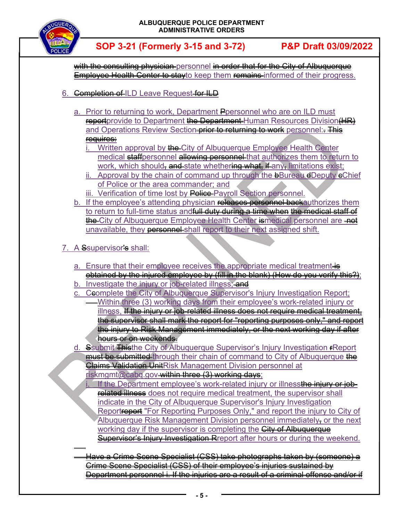

with the consulting physician personnel in order that for the City of Albuquerque **Employee Health Center to stay**to keep them remains informed of their progress.

- 6. **Completion of ILD Leave Request for ILD** 
	- a. Prior to returning to work, Department Ppersonnel who are on ILD must reportprovide to Department the Department Human Resources Division (HR) and Operations Review Section-prior to returning to work personnel:. This requires:
		- i. Written approval by the City of Albuquerque Employee Health Center medical staffpersonnel allowing personnel that authorizes them to return to work, which should<del>, and </del>state whethering what, if any, limitations exist;
		- ii. Approval by the chain of command up through the  $\theta$ Bureau  $\theta$ Deputy  $\theta$ Chief of Police or the area commander; and
		- iii. Verification of time lost by Police Payroll Section personnel.
	- b. If the employee's attending physician releases personnel backauthorizes them to return to full-time status and<del>full duty during a time when the medical staff of</del> the City of Albuquerque Employee Health Center is medical personnel are not unavailable, they personnel shall report to their next assigned shift.
- 7. A Ssupervisor's shall:

 $\overline{a}$ 

- a. Ensure that their employee receives the appropriate medical treatment is obtained by the injured employee by (fill in the blank) (How do you verify this?);
- b. Investigate the injury or job-related illness; and
- c. Ceomplete the City of Albuquerque Supervisor's Injury Investigation Report;
	- Within three (3) working days from their employee's work-related injury or illness, If the injury or job-related illness does not require medical treatment, the supervisor shall mark the report for "reporting purposes only," and report the injury to Risk Management immediately, or the next working day if after hours or on weekends.
- d. Ssubmit Thisthe City of Albuquerque Supervisor's Injury Investigation rReport must be submitted through their chain of command to City of Albuquerque the Claims Validation UnitRisk Management Division personnel at riskmgmt@cabq.gov-within three (3) working days:
	- If the Department employee's work-related injury or illnessthe injury or jobrelated illness does not require medical treatment, the supervisor shall indicate in the City of Albuquerque Supervisor's Injury Investigation Reportreport "For Reporting Purposes Only," and report the injury to City of Albuquerque Risk Management Division personnel immediately, or the next working day if the supervisor is completing the **City of Albuquerque** Supervisor's Injury Investigation Report after hours or during the weekend.

 Have a Crime Scene Specialist (CSS) take photographs taken by (someone) a Crime Scene Specialist (CSS) of their employee's injuries sustained by Department personnel i. If the injuries are a result of a criminal offense and/or if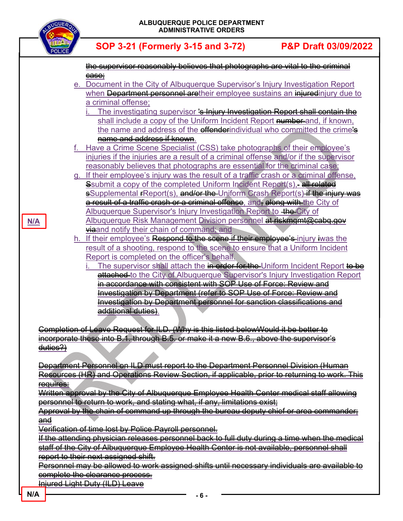|               |             | <b>ALBUQUERQUE</b><br><b>ADMINIST</b>                                                                                                                     |
|---------------|-------------|-----------------------------------------------------------------------------------------------------------------------------------------------------------|
| <b>POLICE</b> |             | SOP 3-21 (Formerly 3                                                                                                                                      |
|               | $e_{\perp}$ | the supervisor reasonably bel<br>ease;<br>Document in the City of Albud<br>when Department personnel<br>a criminal offense;<br>The investigating supervis |
|               |             | shall include a copy of the<br>the name and address of                                                                                                    |
|               |             | name and address if know                                                                                                                                  |
|               | f. _        | Have a Crime Scene Speciali                                                                                                                               |
|               |             | injuries if the injuries are a res<br>reasonably believes that phot<br>g. If their employee's injury was                                                  |
|               |             | Ssubmit a copy of the comple<br><u>a result of a traffic crash or a</u>                                                                                   |
| N/A           |             | <u> Albuquerque Supervisor's Inj</u><br><u>Albuquerque Risk Manageme</u><br><b>viaand notify their chain of co</b>                                        |
|               | <u>h. </u>  | If their employee's Respond t<br>result of a shooting, respond<br>Report is completed on the of<br>The supervisor shall attac                             |
|               |             | attached to the City of Alb<br>in accordance with consis-                                                                                                 |
|               |             | <b>Investigation by Departme</b>                                                                                                                          |
|               |             | <b>Investigation by Departme</b><br>additional duties).                                                                                                   |
| duties?)      |             | <b>Completion of Leave Request for ILD. (Wh</b><br><u>incorporate these into B.1. through B.5. or i</u>                                                   |

|                      | the supervisor reasonably believes that photographs are vital to the criminal                      |
|----------------------|----------------------------------------------------------------------------------------------------|
|                      | ease;                                                                                              |
|                      | e. Document in the City of Albuquerque Supervisor's Injury Investigation Report                    |
|                      | when Department personnel aretheir employee sustains an injuredinjury due to                       |
|                      | a criminal offense;                                                                                |
|                      | The investigating supervisor 's Injury Investigation Report shall contain the                      |
|                      | shall include a copy of the Uniform Incident Report number-and, if known,                          |
|                      | the name and address of the effenderindividual who committed the crime's                           |
|                      | name and address if known.                                                                         |
|                      | f. Have a Crime Scene Specialist (CSS) take photographs of their employee's                        |
|                      | injuries if the injuries are a result of a criminal offense and/or if the supervisor               |
|                      |                                                                                                    |
|                      | reasonably believes that photographs are essential for the criminal case;                          |
|                      | g. If their employee's injury was the result of a traffic crash or a criminal offense,             |
|                      | Ssubmit a copy of the completed Uniform Incident Report(s), all related                            |
|                      | <b>s</b> Supplemental FReport(s), and/or the Uniform Crash Report(s) if the injury was             |
|                      | a result of a traffic crash or a criminal offense, and, along with the City of                     |
|                      | Albuquerque Supervisor's Injury Investigation Report to the City of                                |
|                      | Albuquerque Risk Management Division personnel at riskmgmt@cabq.gov                                |
|                      | waand notify their chain of command; and                                                           |
|                      | h. If their employee's Respond to the scene if their employee's injury iwas the                    |
|                      | result of a shooting, respond to the scene to ensure that a Uniform Incident                       |
|                      | Report is completed on the officer's behalf.                                                       |
|                      | The supervisor shall attach the in order for the Uniform Incident Report to be                     |
|                      | attached to the City of Albuquerque Supervisor's Injury Investigation Report                       |
|                      | in accordance with consistent with SOP Use of Force: Review and                                    |
|                      |                                                                                                    |
|                      | Investigation by Department (refer to SOP Use of Force: Review and                                 |
|                      | Investigation by Department personnel for sanction classifications and                             |
|                      | additional duties).                                                                                |
|                      |                                                                                                    |
|                      | <u>Completion of Leave Request for ILD. (Why is this listed belowWould it be better to</u>         |
|                      | incorporate these into B.1. through B.5. or make it a new B.6., above the supervisor's             |
| <del>duties?)</del>  |                                                                                                    |
|                      |                                                                                                    |
|                      | <u>Department Personnel on ILD must report to the Department Personnel Division (Human</u>         |
|                      | Resources (HR) and Operations Review Section, if applicable, prior to returning to work. This      |
| <del>requires:</del> |                                                                                                    |
|                      | Written approval by the City of Albuquerque Employee Health Center medical staff allowing          |
|                      | personnel to return to work, and stating what, if any, limitations exist;                          |
|                      | Approval by the chain of command up through the bureau deputy chief or area commander <del>;</del> |
| <del>and</del>       |                                                                                                    |
|                      | Verification of time <u>lost by Police Payroll personnel.</u>                                      |
|                      | If the attending physician releases personnel back to full duty during a time when the medical     |
|                      | staff of the City of Albuquerque Employee Health Center is not available, personnel shall          |
|                      |                                                                                                    |
|                      | report to their next assigned shift.                                                               |
|                      | Personnel may be allowed to work assigned shifts until necessary individuals are available to      |
|                      | complete the clearance process.                                                                    |
|                      | <u>Injured Light Duty (ILD) Leave</u>                                                              |
|                      |                                                                                                    |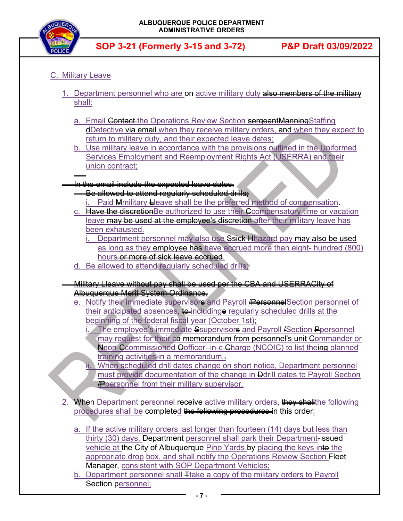

## C. Military Leave

j

- 1. Department personnel who are on active military duty also members of the military shall:
	- a. Email Contact-the Operations Review Section sergeantManningStaffing **dDetective <del>via email</del>** when they receive military orders, and when they expect to return to military duty, and their expected leave dates;
	- b. Use military leave in accordance with the provisions outlined in the Uniformed Services Employment and Reemployment Rights Act (USERRA) and their union contract;
- In the email include the expected leave dates.
	- Be allowed to attend requiarly scheduled drills;
		- Paid Mmilitary Lleave shall be the preferred method of compensation.
	- c. Have the discretion Be authorized to use their Ccompensatory time or vacation leave may be used at the employee's discretion after their military leave has been exhausted.
		- Department personnel may also use Ssick Hhazard pay may also be used as long as they employee has have accrued more than eight-hundred (800) hours or more of sick leave accrued.
	- d. Be allowed to attend regularly scheduled drills;
- Military Lleave without pay shall be used per the CBA and USERRACity of Albuquerque Merit System Ordinance.
	- e. Notify their immediate supervisors and Payroll **/Personnel**Section personnel of their anticipated absences, to includinge regularly scheduled drills at the beginning of the federal fiscal year (October 1st);
		- i. The employee's immediate Ssupervisors and Payroll *I* Section Ppersonnel may request for their ca memorandum from personnel's unit Commander or Anon-Ccommissioned Oofficer--in-c-Charge (NCOIC) to list theing planned training activities in a memorandum..
		- When scheduled drill dates change on short notice, Department personnel must provide documentation of the change in Ddrill dates to Payroll Section **P** personnel from their military supervisor.
- 2. When Department personnel receive active military orders, they shall the following procedures shall be completed the following procedures in this order:
	- a. If the active military orders last longer than fourteen (14) days but less than thirty (30) days, Department personnel shall park their Department-issued vehicle at the City of Albuquerque Pino Yards by placing the keys into the appropriate drop box, and shall notify the Operations Review Section Fleet Manager, consistent with SOP Department Vehicles;
	- b. Department personnel shall Trake a copy of the military orders to Payroll Section personnel;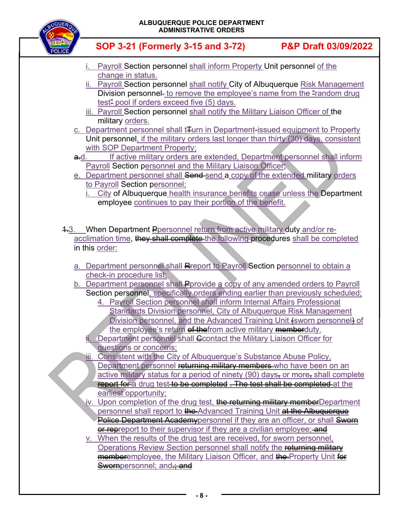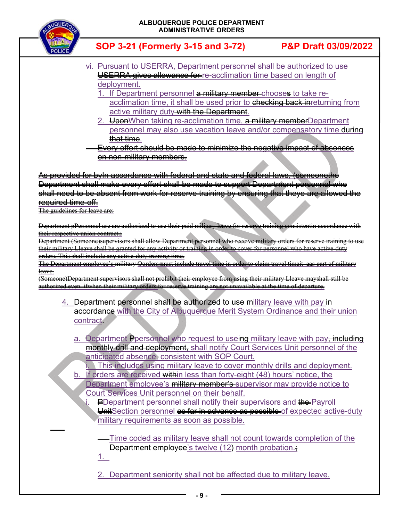

- vi. Pursuant to USERRA, Department personnel shall be authorized to use USERRA gives allowance for re-acclimation time based on length of deployment.
	- 1. If Department personnel a military member-chooses to take reacclimation time, it shall be used prior to checking back inreturning from active military duty<del>-with the Department</del>.
	- 2. UponWhen taking re-acclimation time, a military memberDepartment personnel may also use vacation leave and/or compensatory time-during that time.
- Every effort should be made to minimize the negative impact of absences on non-military members.

As provided for byIn accordance with federal and state and federal laws, (someonethe Department shall make every effort shall be made to support Department personnel who shall need to be absent from work for reserve training by ensuring that theye are allowed the required time-off.

The guidelines for leave are:

j

1.

j

Department pPersonnel are are authorized to use their paid military leave for reserve training consistentin accordance with their respective union contract.;

Department (Someone)supervisors shall allow Department personnel who receive military orders their military Lleave shall be granted for any activity or training in order to cover for personnel who have active-duty orders. This shall include any active-duty training time.

The Department employee's military Oorders must include travel time in order to claim travel timeit aas part of military leave.

(Someone)Department supervisors shall not prohibit their employee from using their military Lleave mayshall still be authorized even ifwhen their military orders for reserve training are not unavailable at the time of departure.

- 4. Department personnel shall be authorized to use military leave with pay in accordance with the City of Albuquerque Merit System Ordinance and their union contract.
	- a. Department Ppersonnel who request to useing military leave with pay, including monthly drill and deployment, shall notify Court Services Unit personnel of the anticipated absence, consistent with SOP Court.
		- This includes using military leave to cover monthly drills and deployment.
	- b. If orders are received within less than forty-eight (48) hours' notice, the Department employee's military member's supervisor may provide notice to Court Services Unit personnel on their behalf.
		- PDepartment personnel shall notify their supervisors and the Payroll
		- UnitSection personnel as far in advance as possible of expected active-duty military requirements as soon as possible.

Time coded as military leave shall not count towards completion of the Department employee's twelve (12) month probation.

2. Department seniority shall not be affected due to military leave.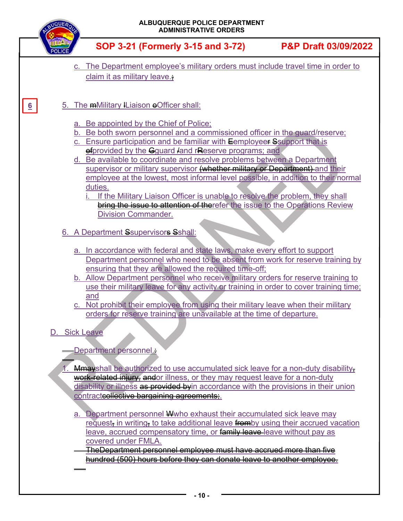| SOP 3-21 (Formerly 3-15 and 3-72)<br>c. The Department employee's military orders must include travel time in order to<br>claim it as military leave.;<br>5. The mMilitary ILiaison officer shall:<br>$6 \overline{6}$<br>a. Be appointed by the Chief of Police;<br>Be both sworn personnel and a commissioned officer in the quard/reserve;<br>b.<br>c. Ensure participation and be familiar with Eemployeer Ssupport that is<br>efprovided by the Gquard <i>land</i> rReserve programs; and<br>d. Be available to coordinate and resolve problems between a Department<br>supervisor or military supervisor (whether military or Department) and their<br>employee at the lowest, most informal level possible, in addition to their normal<br>duties.<br>If the Military Liaison Officer is unable to resolve the problem, they shall<br>bring the issue to attention of therefer the issue to the Operations Review<br><b>Division Commander.</b><br>6. A Department Ssupervisors Sshall:<br>a. In accordance with federal and state laws, make every effort to support<br>Department personnel who need to be absent from work for reserve training by<br>ensuring that they are allowed the required time-off;<br>b. Allow Department personnel who receive military orders for reserve training to<br>use their military leave for any activity or training in order to cover training time;<br>and<br>c. Not prohibit their employee from using their military leave when their military<br>orders for reserve training are unavailable at the time of departure.<br>D. Sick Leave<br>-Department personnel:<br>1. Mmayshall be authorized to use accumulated sick leave for a non-duty disability,<br>work-related injury, andor illness, or they may request leave for a non-duty<br>disability or illness as provided by in accordance with the provisions in their union<br>contracteollective bargaining agreements;<br>a. Department personnel Wwho exhaust their accumulated sick leave may | <b>NQUE</b> | ALBUQUERQUE POLICE DEPARTMENT<br><b>ADMINISTRATIVE ORDERS</b>                     |                      |
|-------------------------------------------------------------------------------------------------------------------------------------------------------------------------------------------------------------------------------------------------------------------------------------------------------------------------------------------------------------------------------------------------------------------------------------------------------------------------------------------------------------------------------------------------------------------------------------------------------------------------------------------------------------------------------------------------------------------------------------------------------------------------------------------------------------------------------------------------------------------------------------------------------------------------------------------------------------------------------------------------------------------------------------------------------------------------------------------------------------------------------------------------------------------------------------------------------------------------------------------------------------------------------------------------------------------------------------------------------------------------------------------------------------------------------------------------------------------------------------------------------------------------------------------------------------------------------------------------------------------------------------------------------------------------------------------------------------------------------------------------------------------------------------------------------------------------------------------------------------------------------------------------------------------------------------------------------------------------------------------------------------|-------------|-----------------------------------------------------------------------------------|----------------------|
|                                                                                                                                                                                                                                                                                                                                                                                                                                                                                                                                                                                                                                                                                                                                                                                                                                                                                                                                                                                                                                                                                                                                                                                                                                                                                                                                                                                                                                                                                                                                                                                                                                                                                                                                                                                                                                                                                                                                                                                                             |             |                                                                                   | P&P Draft 03/09/2022 |
|                                                                                                                                                                                                                                                                                                                                                                                                                                                                                                                                                                                                                                                                                                                                                                                                                                                                                                                                                                                                                                                                                                                                                                                                                                                                                                                                                                                                                                                                                                                                                                                                                                                                                                                                                                                                                                                                                                                                                                                                             |             |                                                                                   |                      |
|                                                                                                                                                                                                                                                                                                                                                                                                                                                                                                                                                                                                                                                                                                                                                                                                                                                                                                                                                                                                                                                                                                                                                                                                                                                                                                                                                                                                                                                                                                                                                                                                                                                                                                                                                                                                                                                                                                                                                                                                             |             |                                                                                   |                      |
|                                                                                                                                                                                                                                                                                                                                                                                                                                                                                                                                                                                                                                                                                                                                                                                                                                                                                                                                                                                                                                                                                                                                                                                                                                                                                                                                                                                                                                                                                                                                                                                                                                                                                                                                                                                                                                                                                                                                                                                                             |             |                                                                                   |                      |
|                                                                                                                                                                                                                                                                                                                                                                                                                                                                                                                                                                                                                                                                                                                                                                                                                                                                                                                                                                                                                                                                                                                                                                                                                                                                                                                                                                                                                                                                                                                                                                                                                                                                                                                                                                                                                                                                                                                                                                                                             |             |                                                                                   |                      |
|                                                                                                                                                                                                                                                                                                                                                                                                                                                                                                                                                                                                                                                                                                                                                                                                                                                                                                                                                                                                                                                                                                                                                                                                                                                                                                                                                                                                                                                                                                                                                                                                                                                                                                                                                                                                                                                                                                                                                                                                             |             |                                                                                   |                      |
|                                                                                                                                                                                                                                                                                                                                                                                                                                                                                                                                                                                                                                                                                                                                                                                                                                                                                                                                                                                                                                                                                                                                                                                                                                                                                                                                                                                                                                                                                                                                                                                                                                                                                                                                                                                                                                                                                                                                                                                                             |             |                                                                                   |                      |
|                                                                                                                                                                                                                                                                                                                                                                                                                                                                                                                                                                                                                                                                                                                                                                                                                                                                                                                                                                                                                                                                                                                                                                                                                                                                                                                                                                                                                                                                                                                                                                                                                                                                                                                                                                                                                                                                                                                                                                                                             |             |                                                                                   |                      |
|                                                                                                                                                                                                                                                                                                                                                                                                                                                                                                                                                                                                                                                                                                                                                                                                                                                                                                                                                                                                                                                                                                                                                                                                                                                                                                                                                                                                                                                                                                                                                                                                                                                                                                                                                                                                                                                                                                                                                                                                             |             |                                                                                   |                      |
|                                                                                                                                                                                                                                                                                                                                                                                                                                                                                                                                                                                                                                                                                                                                                                                                                                                                                                                                                                                                                                                                                                                                                                                                                                                                                                                                                                                                                                                                                                                                                                                                                                                                                                                                                                                                                                                                                                                                                                                                             |             | request, in writing, to take additional leave fromby using their accrued vacation |                      |
| leave, accrued compensatory time, or family leave-leave without pay as<br>covered under FMLA.<br><u>TheDepartment personnel employee must have accrued more than five</u><br>hundred (500) hours before they can donate leave to another employee.                                                                                                                                                                                                                                                                                                                                                                                                                                                                                                                                                                                                                                                                                                                                                                                                                                                                                                                                                                                                                                                                                                                                                                                                                                                                                                                                                                                                                                                                                                                                                                                                                                                                                                                                                          |             |                                                                                   |                      |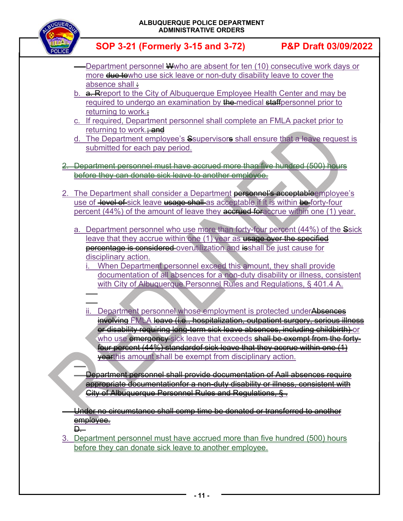

- Department personnel Wwho are absent for ten (10) consecutive work days or more due towho use sick leave or non-duty disability leave to cover the absence shall :
- b. **a. Report to the City of Albuquerque Employee Health Center and may be** required to undergo an examination by the medical staffpersonnel prior to returning to work.;
- c. If required, Department personnel shall complete an FMLA packet prior to returning to work. $\div$ and
- d. The Department employee's Ssupervisors shall ensure that a leave request is submitted for each pay period.
- 2. Department personnel must have accrued more than five hundred (500) hours before they can donate sick leave to another employee.
- 2. The Department shall consider a Department **personnel's acceptable**employee's use of level of sick leave usage shall as acceptable if it is within be forty-four percent (44%) of the amount of leave they accrued for accrue within one (1) year.
	- a. Department personnel who use more than forty-four percent (44%) of the Ssick leave that they accrue within one (1) year as usage over the specified percentage is considered overutilization and isshall be just cause for disciplinary action.
		- When Department personnel exceed this amount, they shall provide documentation of all absences for a non-duty disability or illness, consistent with City of Albuquerque Personnel Rules and Regulations, § 401.4 A.
		- j ii. Department personnel whose employment is protected underAbsences involving FMLA leave (i.e., hospitalization, outpatient surgery, serious illness or disability requiring long-term sick leave absences, including childbirth) or who use emergency sick leave that exceeds shall be exempt from the fortyfour percent (44%) standardof sick leave that they accrue within one (1) **yearthis amount shall be exempt from disciplinary action.**

 Department personnel shall provide documentation of Aall absences require appropriate documentationfor a non-duty disability or illness, consistent with City of Albuquerque Personnel Rules and Regulations, § .

 Under no circumstance shall comp time be donated or transferred to another employee.

 $\Box$ 

 $\overline{\phantom{a}}$ 

j

3. Department personnel must have accrued more than five hundred (500) hours before they can donate sick leave to another employee.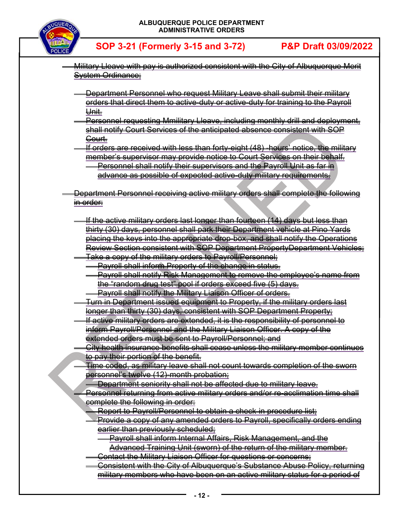

- Military Lleave with pay is authorized consistent with the City of Albuquerque Merit System Ordinance;
	- Department Personnel who request Military Leave shall submit their military orders that direct them to active-duty or active-duty for training to the Payroll Unit.
	- Personnel requesting Mmilitary Lleave, including monthly drill and deployment, shall notify Court Services of the anticipated absence consistent with SOP Court.
	- If orders are received with less than forty-eight (48) -hours' notice, the military member's supervisor may provide notice to Court Services on their behalf.
		- Personnel shall notify their supervisors and the Payroll Unit as far in advance as possible of expected active-duty military requirements.
- Department Personnel receiving active military orders shall complete the following in order:
	- If the active military orders last longer than fourteen (14) days but less than thirty (30) days, personnel shall park their Department vehicle at Pino Yards placing the keys into the appropriate drop-box, and shall notify the Operations Review Section consistent with SOP Department PropertyDepartment Vehicles; Take a copy of the military orders to Payroll/Personnel;
		- Payroll shall inform Property of the change in status.
		- Payroll shall notify Risk Management to remove the employee's name from the "random drug test" pool if orders exceed five (5) days. Payroll shall notify the Military Liaison Officer of orders.
		- Turn in Department issued equipment to Property, if the military orders last longer than thirty (30) days, consistent with SOP Department Property;
		- If active military orders are extended, it is the responsibility of personnel to inform Payroll/Personnel and the Military Liaison Officer. A copy of the extended orders must be sent to Payroll/Personnel; and
		- City health insurance benefits shall cease unless the military member continues to pay their portion of the benefit.
		- Time coded, as military leave shall not count towards completion of the sworn personnel's twelve (12)-month probation;
			- Department seniority shall not be affected due to military leave.
		- Personnel returning from active military orders and/or re-acclimation time shall complete the following in order:
			- Report to Payroll/Personnel to obtain a check-in procedure list;
			- Provide a copy of any amended orders to Payroll, specifically orders ending earlier than previously scheduled;
				- Payroll shall inform Internal Affairs, Risk Management, and the Advanced Training Unit (sworn) of the return of the military member.
			- Contact the Military Liaison Officer for questions or concerns;
			- Consistent with the City of Albuquerque's Substance Abuse Policy, returning military members who have been on an active military status for a period of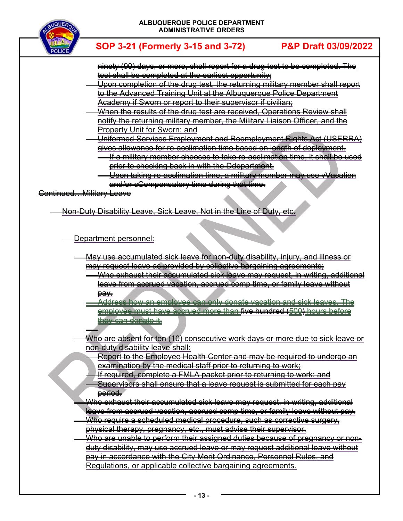

- ninety (90) days, or more, shall report for a drug test to be completed. The test shall be completed at the earliest opportunity;
- Upon completion of the drug test, the returning military member shall report to the Advanced Training Unit at the Albuquerque Police Department Academy if Sworn or report to their supervisor if civilian;
- When the results of the drug test are received, Operations Review shall notify the returning military member, the Military Liaison Officer, and the Property Unit for Sworn; and
- Uniformed Services Employment and Reemployment Rights Act (USERRA) gives allowance for re-acclimation time based on length of deployment.
	- If a military member chooses to take re-acclimation time, it shall be used prior to checking back in with the Ddepartment.
	- Upon taking re-acclimation time, a military member may use vVacation and/or cCompensatory time during that time.

Continued…Military Leave

j

Non-Duty Disability Leave, Sick Leave, Not in the Line of Duty, etc.

Department personnel:

- May use accumulated sick leave for non-duty disability, injury, and illness or may request leave as provided by collective bargaining agreements;
	- Who exhaust their accumulated sick leave may request, in writing, additional leave from accrued vacation, accrued comp time, or family leave without pay.
	- Address how an employee can only donate vacation and sick leaves. The employee must have accrued more than five hundred (500) hours before they can donate it.
	- Who are absent for ten (10) consecutive work days or more due to sick leave or non-duty disability leave shall:
		- Report to the Employee Health Center and may be required to undergo an examination by the medical staff prior to returning to work;
		- If required, complete a FMLA packet prior to returning to work; and
		- Supervisors shall ensure that a leave request is submitted for each pay period.
		- Who exhaust their accumulated sick leave may request, in writing, additional
	- leave from accrued vacation, accrued comp time, or family leave without pay. Who require a scheduled medical procedure, such as corrective surgery, physical therapy, pregnancy, etc., must advise their supervisor.
- Who are unable to perform their assigned duties because of pregnancy or nonduty disability, may use accrued leave or may request additional leave without pay in accordance with the City Merit Ordinance, Personnel Rules, and Regulations, or applicable collective bargaining agreements.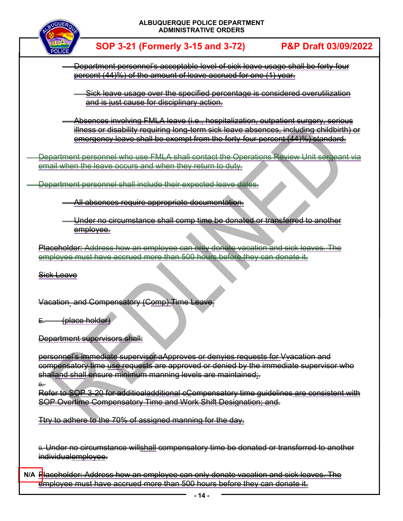

 Department personnel's acceptable level of sick leave usage shall be forty-four percent (44)%) of the amount of leave accrued for one (1) year.

 Sick leave usage over the specified percentage is considered overutilization and is just cause for disciplinary action.

 Absences involving FMLA leave (i.e., hospitalization, outpatient surgery, serious illness or disability requiring long-term sick leave absences, including childbirth) or emergency leave shall be exempt from the forty-four percent (44)%) standard.

 Department personnel who use FMLA shall contact the Operations Review Unit sergeant via email when the leave occurs and when they return to duty.

Department personnel shall include their expected leave dates.

All absences require appropriate documentation.

 Under no circumstance shall comp time be donated or transferred to another employee.

Placeholder: Address how an employee can only donate vacation and sick leaves. The employee must have accrued more than 500 hours before they can donate it.

Sick Leave

Vacation and Compensatory (Comp) Time Leave.

E<del>. (place holder)</del>

**Department supervisors shall:** 

personnel's immediate supervisor aApproves or denyies requests for Vvacation and compensatory time use requests are approved or denied by the immediate supervisor who shalland shall ensure minimum manning levels are maintained;

0.

Refer to SOP 3-20 for additioaladditional cCompensatory time guidelines are consistent with SOP Overtime Compensatory Time and Work Shift Designation; and.

Ttry to adhere to the 70% of assigned manning for the day.

0. Under no circumstance willshall compensatory time be donated or transferred to another individualemployee.

Placeholder: Address how an employee can only donate vacation and sick leaves. The **N/A e**mployee must have accrued more than 500 hours before they can donate it.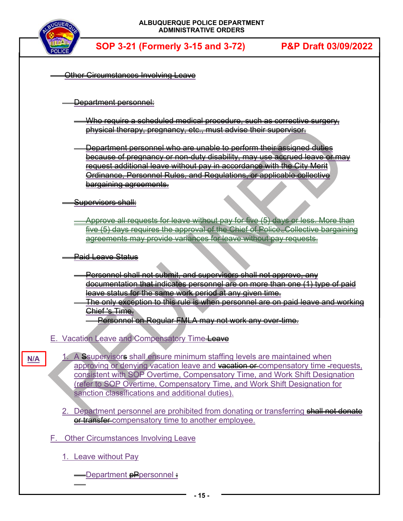

| Other Circumstances Involving Leave                                                                                                                               |
|-------------------------------------------------------------------------------------------------------------------------------------------------------------------|
|                                                                                                                                                                   |
| <del>Department personnel:</del>                                                                                                                                  |
| <del>Who require a scheduled medical procedure, such as corrective surgery,</del>                                                                                 |
| physical therapy, pregnancy, etc., must advise their supervisor.                                                                                                  |
| <del>Department personnel who are unable to perform their assigned duties</del>                                                                                   |
| <u>because of pregnancy or non-duty disability, may use accrued leave or may</u><br><u>request additional leave without pay in accordance with the City Merit</u> |
| Ordinance, Personnel Rules, and Regulations, or applicable collective                                                                                             |
| <del>bargaining agreements.</del>                                                                                                                                 |
| <del>Supe<u>rvisors shall:</u></del>                                                                                                                              |
| Approve all requests for leave without pay for five (5) days or less. More than                                                                                   |
| five (5) days requires the approval of the Chief of Police. Collective bargain                                                                                    |
| agreements may provide variances for leave without pay requests.                                                                                                  |
| <del>Paid Leave Status</del>                                                                                                                                      |
| <u>Personnel shall not submit, and supervisors shall not approve, any</u>                                                                                         |
| <del>documentation that indicates personnel are on more than one (1) type of paid</del>                                                                           |
| leave status for the same work period at any given time.                                                                                                          |
|                                                                                                                                                                   |
| <u>The only exception to this rule is when personnel are on paid leave and working </u><br>Chief 's Time.                                                         |
| Personnel on Regular FMLA may not work any over-time.                                                                                                             |
| E. Vacation Leave and Compensatory Time-Leave                                                                                                                     |
| A Ssupervisors shall ensure minimum staffing levels are maintained when                                                                                           |
| N/A<br>approving or denying vacation leave and vacation or compensatory time -requests,                                                                           |
| consistent with SOP Overtime, Compensatory Time, and Work Shift Designation<br>(refer to SOP Overtime, Compensatory Time, and Work Shift Designation for          |
| sanction classifications and additional duties).                                                                                                                  |
| 2. Department personnel are prohibited from donating or transferring shall not donate                                                                             |
| er transfer-compensatory time to another employee.                                                                                                                |
| F. Other Circumstances Involving Leave                                                                                                                            |
| 1. Leave without Pay                                                                                                                                              |
|                                                                                                                                                                   |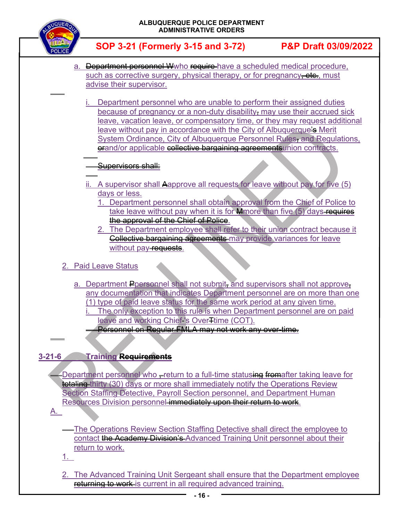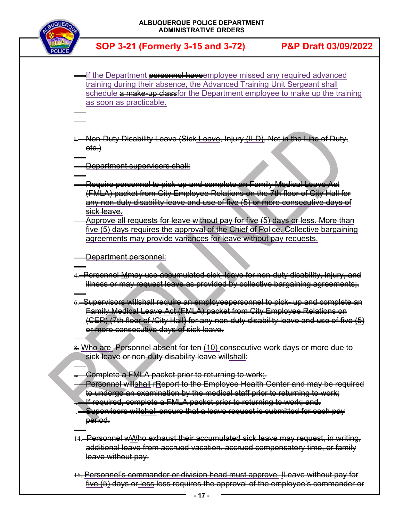

j j

j

j

j

j

 $\overline{\phantom{a}}$ 

j

j

- If the Department **personnel have**employee missed any required advanced training during their absence, the Advanced Training Unit Sergeant shall schedule a make-up classfor the Department employee to make up the training as soon as practicable.
- j I. Non-Duty Disability Leave (Sick Leave, Injury (ILD), Not in the Line of Duty,  $e$ te.)
- j Department supervisors shall:
- j Require personnel to pick-up and complete an Family Medical Leave Act (FMLA) packet from City Employee Relations on the 7th floor of City Hall for any non-duty disability leave and use of five (5) or more consecutive days of sick leave.
- Approve all requests for leave without pay for five (5) days or less. More than five (5) days requires the approval of the Chief of Police. Collective bargaining agreements may provide variances for leave without pay requests.
- Department personnel:
- 4. Personnel Mmay use accumulated sick leave for non-duty disability, injury, and illness or may request leave as provided by collective bargaining agreements;.
- 6. Supervisors willshall require an employeepersonnel to pick- up and complete an Family Medical Leave Act (FMLA) packet from City Employee Relations on (CER) (7th floor of /City Hall) for any non-duty disability leave and use of five (5) or more consecutive days of sick leave.
- 8. Who are Personnel absent for ten (10) consecutive work days or more due to sick leave or non-duty disability leave willshall:
	- Complete a FMLA packet prior to returning to work;
	- Personnel willshall rReport to the Employee Health Center and may be required to undergo an examination by the medical staff prior to returning to work;
	- If required, complete a FMLA packet prior to returning to work; and.
- Supervisors willshall ensure that a leave request is submitted for each pay period.
- 14. Personnel wWho exhaust their accumulated sick leave may request, in writing, additional leave from accrued vacation, accrued compensatory time, or family leave without pay.
- 16. Personnel's commander or division head must approve lLeave without pay for five (5) days or less less requires the approval of the employee's commander or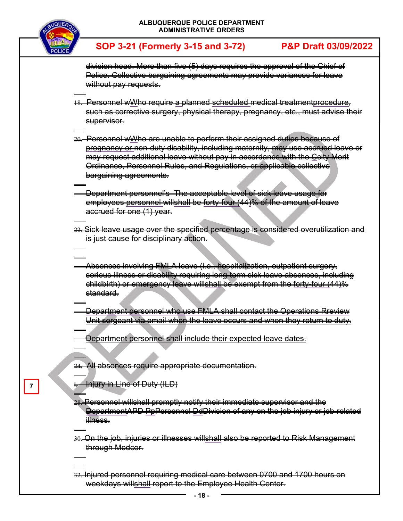

j

 $\overline{a}$ 

j

j j

 $\overline{a}$ 

 $\overline{a}$ l

 $\overline{a}$ 

 $\overline{\phantom{a}}$  $\overline{a}$  **SOP 3-21 (Formerly 3-15 and 3-72) P&P Draft 03/09/2022**

division head. More than five (5) days requires the approval of the Chief of Police. Collective bargaining agreements may provide variances for leave without pay requests.

- $\overline{a}$ 18. Personnel wWho require a planned scheduled medical treatmentprocedure, such as corrective surgery, physical therapy, pregnancy, etc., must advise their supervisor.
- 20. Personnel wWho are unable to perform their assigned duties because of pregnancy or non-duty disability, including maternity, may use accrued leave or may request additional leave without pay in accordance with the Ccity Merit Ordinance, Personnel Rules, and Regulations, or applicable collective bargaining agreements.
- Department personnel's The acceptable level of sick leave usage for employees personnel willshall be forty-four (44)% of the amount of leave accrued for one (1) year.
- 22. Sick leave usage over the specified percentage is considered overutilization and is just cause for disciplinary action.
	- Absences involving FMLA leave (i.e., hospitalization, outpatient surgery, serious illness or disability requiring long-term sick leave absences, including childbirth) or emergency leave willshall be exempt from the forty-four (44)% standard.
- $\overline{a}$  Department personnel who use FMLA shall contact the Operations Rreview Unit sergeant via email when the leave occurs and when they return to duty.
- Department personnel shall include their expected leave dates.
- 24. All absences require appropriate documentation.
- I. Injury in Line of Duty (ILD)
- l 28. Personnel willshall promptly notify their immediate supervisor and the DepartmentAPD PpPersonnel DdDivision of any on the job injury or job-related illness.
- $\overline{a}$ 30. On the job, injuries or illnesses willshall also be reported to Risk Management through Medcor.
- 32. Injured personnel requiring medical care between 0700 and 1700 hours on weekdays willshall report to the Employee Health Center.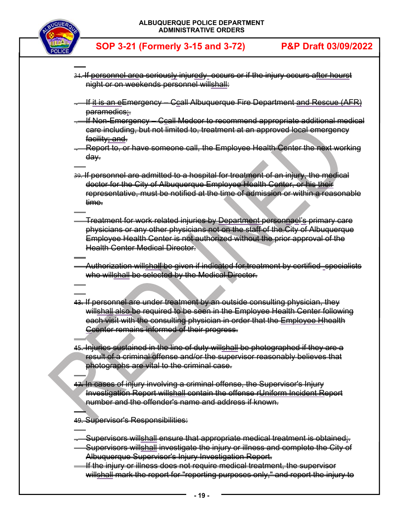

 $\overline{a}$ 

 $\overline{\phantom{a}}$  $\overline{a}$ 

 $\overline{a}$ 

 $\overline{\phantom{a}}$ 

- $\overline{a}$ 34. If personnel area seriously injuredy occurs or if the injury occurs after hourst night or on weekends personnel willshall:
- . If it is an eEmergency Ccall Albuquerque Fire Department and Rescue (AFR) paramedics;
- . If Non-Emergency Ccall Medcor to recommend appropriate additional medical care including, but not limited to, treatment at an approved local emergency facility; and.
- Report to, or have someone call, the Employee Health Center the next working day.
- $\overline{a}$ 39. If personnel are admitted to a hospital for treatment of an injury, the medical doctor for the City of Albuquerque Employee Health Center, or his their representative, must be notified at the time of admission or within a reasonable time.
- $\overline{a}$  Treatment for work related injuries by Department personnael's primary care physicians or any other physicians not on the staff of the City of Albuquerque Employee Health Center is not authorized without the prior approval of the **Health Center Medical Director.**
- Authorization willshall be given if indicated for treatment by certified specialists who willshall be selected by the Medical Director.
- 43. If personnel are under treatment by an outside consulting physician, they willshall also be required to be seen in the Employee Health Center following each visit with the consulting physician in order that the Employee Hhealth Ccenter remains informed of their progress.
- $\overline{a}$ 45. Injuries sustained in the line of duty willshall be photographed if they are a result of a criminal offense and/or the supervisor reasonably believes that photographs are vital to the criminal case.
- 47. In cases of injury involving a criminal offense, the Supervisor's Injury Investigation Report willshall contain the offense rUniform Incident Report number and the offender's name and address if known.
- 49. Supervisor's Responsibilities:
- $\overline{a}$ . Supervisors willshall ensure that appropriate medical treatment is obtained;.
- Supervisors willshall investigate the injury or illness and complete the City of Albuquerque Supervisor's Injury Investigation Report.
- If the injury or illness does not require medical treatment, the supervisor willshall mark the report for "reporting purposes only," and report the injury to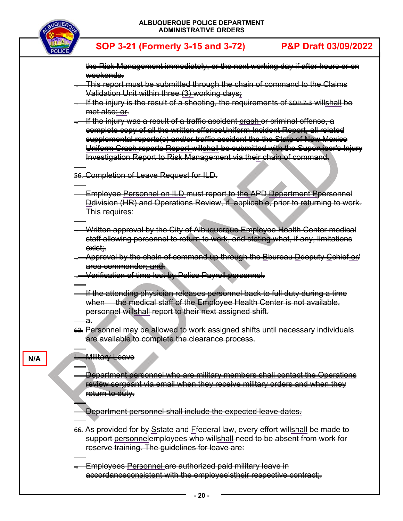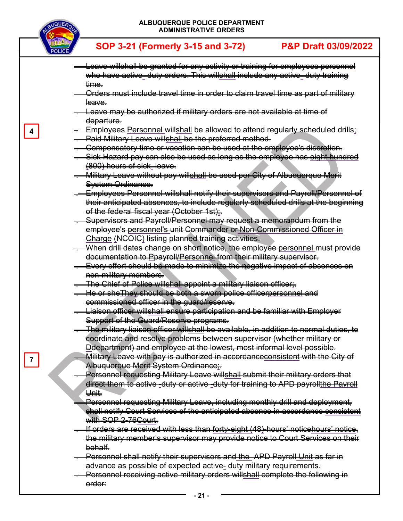

**4** 

**7** 

**SOP 3-21 (Formerly 3-15 and 3-72) P&P Draft 03/09/2022**

 Leave willshall be granted for any activity or training for employees personnel who have active- duty orders. This willshall include any active- duty training time. Orders must include travel time in order to claim travel time as part of military leave. Leave may be authorized if military orders are not available at time of departure. Employees Personnel willshall be allowed to attend regularly scheduled drills; . Paid Military Leave willshall be the preferred method. . Compensatory time or vacation can be used at the employee's discretion. Sick Hazard pay can also be used as long as the employee has eight hundred (800) hours of sick leave. . Military Leave without pay willshall be used per City of Albuquerque Merit System Ordinance. . Employees Personnel willshall notify their supervisors and Payroll/Personnel of their anticipated absences, to include regularly scheduled drills at the beginning of the federal fiscal year (October 1st): . Supervisors and Payroll/Personnel may request a memorandum from the employee's personnel's unit Commander or Non-Commissioned Officer in Charge (NCOIC) listing planned training activities. . When drill dates change on short notice, the employee personnel must provide documentation to Ppayroll/Personnel from their military supervisor. . Every effort should be made to minimize the negative impact of absences on non-military members. . The Chief of Police willshall appoint a military liaison officer;. . He or sheThey should be both a sworn police officerpersonnel and commissioned officer in the guard/reserve. . Liaison officer willshall ensure participation and be familiar with Employer Support of the Guard/Reserve programs. . The military liaison officer willshall be available, in addition to normal duties, to coordinate and resolve problems between supervisor (whether military or Ddepartment) and employee at the lowest, most informal level possible. . Military Leave with pay is authorized in accordanceconsistent with the City of Albuquerque Merit System Ordinance;. Personnel requesting Military Leave will<u>shall</u> submit their military orders that direct them to active -duty or active -duty for training to APD payrollthe Payroll Unit. Personnel requesting Military Leave, including monthly drill and deployment, shall notify Court Services of the anticipated absence in accordance consistent with SOP 2-76 Court. If orders are received with less than forty-eight (48)-hours' noticehours' notice, the military member's supervisor may provide notice to Court Services on their behalf. . Personnel shall notify their supervisors and the APD Payroll Unit as far in advance as possible of expected active- duty military requirements. . Personnel receiving active military orders willshall complete the following in order: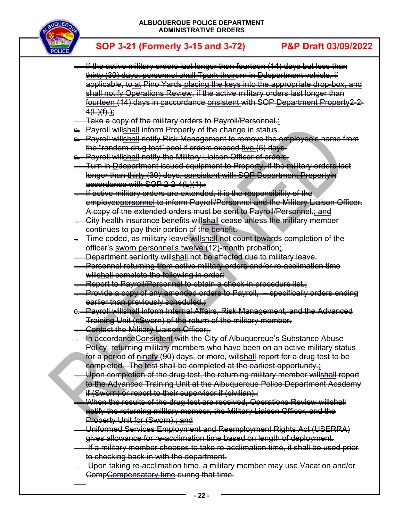

- . If the active military orders last longer than fourteen (14) days but less than thirty (30) days, personnel shall Tpark theirurn in Ddepartment vehicle, if applicable, to at Pino Yards placing the keys into the appropriate drop-box, and shall notify Operations Review, if the active military orders last longer than fourteen (14) days in caccordance onsistent with SOP Department Property2-2- 4<del>(L)(f).<u>);</u></del>
- . Take a copy of the military orders to Payroll/Personnel.;
- 0. Payroll willshall inform Property of the change in status.
- 0. Payroll willshall notify Risk Management to remove the employee's name from the "random drug test" pool if orders exceed five (5) days.
- 0. Payroll willshall notify the Military Liaison Officer of orders.
- . Turn in Ddepartment issued equipment to Property, if the military orders last longer than thirty (30) days, consistent with SOP Department Propertyin accordance with SOP 2-2-4(L)(1).;
- . If active military orders are extended, it is the responsibility of the employeepersonnel to inform Payroll/Personnel and the Military Liaison Officer. A copy of the extended orders must be sent to Payroll/Personnel.; and
- . City health insurance benefits willshall cease unless the military member continues to pay their portion of the benefit.
- . Time coded, as military leave willshall not count towards completion of the officer's sworn personnel's twelve (12)-month probation;.
- . Department seniority willshall not be affected due to military leave.
- . Personnel returning from active military orders and/or re-acclimation time willshall complete the following in order:
- Report to Payroll/Personnel to obtain a check-in procedure list.
- . Provide a copy of any amended orders to Payroll, specifically orders ending earlier than previously scheduled.;
- 0. Payroll willshall inform Internal Affairs, Risk Management, and the Advanced Training Unit (sSworn) of the return of the military member.
- **Contact the Military Liaison Officer:**

 $\overline{a}$ 

- . In accordanceConsistent with the City of Albuquerque's Substance Abuse Policy, returning military members who have been on an active military status for a period of ninety (90) days, or more, willshall report for a drug test to be completed. The test shall be completed at the earliest opportunity.;
- . Upon completion of the drug test, the returning military member willshall report to the Advanced Training Unit at the Albuquerque Police Department Academy if (Sworn) or report to their supervisor if (civilian).;
- . When the results of the drug test are received, Operations Review willshall notify the returning military member, the Military Liaison Officer, and the Property Unit for (Sworn).; and
- Uniformed Services Employment and Reemployment Rights Act (USERRA) gives allowance for re-acclimation time based on length of deployment.
- If a military member chooses to take re-acclimation time, it shall be used prior to checking back in with the department.
- . Upon taking re-acclimation time, a military member may use Vacation and/or CompCompensatory time during that time.